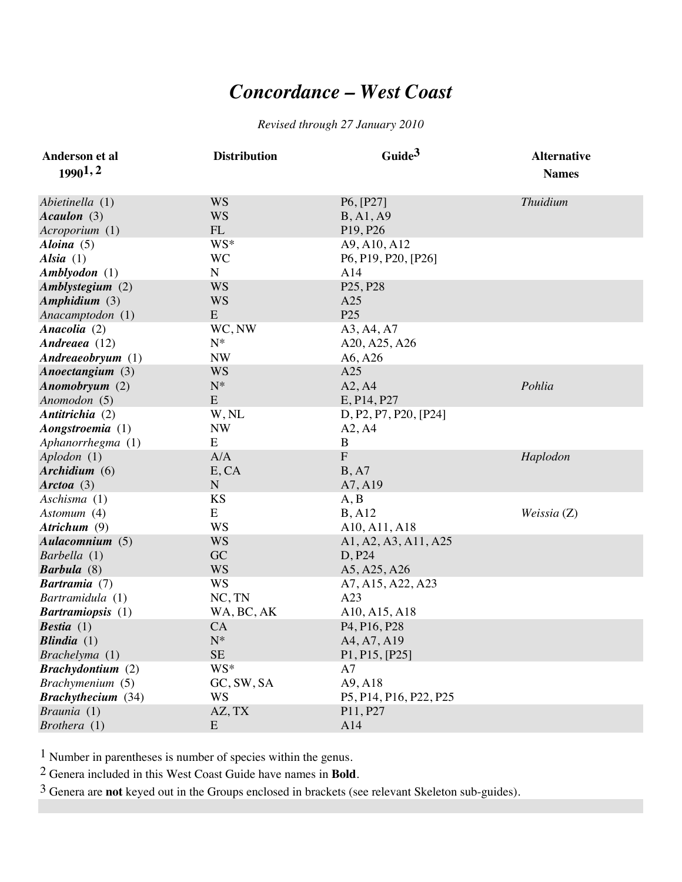## *Concordance – West Coast*

## *Revised through 27 January 2010*

| Anderson et al            | <b>Distribution</b> | Guide <sup>3</sup>                                 | <b>Alternative</b> |
|---------------------------|---------------------|----------------------------------------------------|--------------------|
| 19901,2                   |                     |                                                    | <b>Names</b>       |
|                           |                     |                                                    |                    |
| Abietinella (1)           | <b>WS</b>           | P6, [P27]                                          | <b>Thuidium</b>    |
| Acaulon (3)               | <b>WS</b>           | B, A1, A9                                          |                    |
| Acroporium (1)            | FL                  | P <sub>19</sub> , P <sub>26</sub>                  |                    |
| Aloina $(5)$              | WS*                 | A9, A10, A12                                       |                    |
| Alsia $(1)$               | <b>WC</b>           | P6, P19, P20, [P26]                                |                    |
| Amblyodon (1)             | ${\bf N}$           | A14                                                |                    |
| Amblystegium (2)          | <b>WS</b>           | P <sub>25</sub> , P <sub>28</sub>                  |                    |
| Amphidium (3)             | <b>WS</b>           | A25                                                |                    |
| Anacamptodon (1)          | E                   | P <sub>25</sub>                                    |                    |
| Anacolia (2)              | WC, NW              | A3, A4, A7                                         |                    |
| Andreaea (12)             | ${\bf N}^*$         | A20, A25, A26                                      |                    |
| Andreaeobryum(1)          | <b>NW</b>           | A6, A26                                            |                    |
| Anoectangium (3)          | <b>WS</b>           | A25                                                |                    |
| Anomobryum (2)            | $N^*$               | A2, A4                                             | Pohlia             |
| Anomodon (5)              | ${\bf E}$           | E, P14, P27                                        |                    |
| Antitrichia (2)           | W, NL               | D, P2, P7, P20, [P24]                              |                    |
| Aongstroemia (1)          | <b>NW</b>           | A2, A4                                             |                    |
| Aphanorrhegma (1)         | E                   | B                                                  |                    |
| Aplodon (1)               | A/A                 | ${\bf F}$                                          | Haplodon           |
| Archidium (6)             | E, CA               | B, A7                                              |                    |
| Arctoa $(3)$              | ${\bf N}$           | A7, A19                                            |                    |
| Aschisma (1)              | KS                  | A, B                                               |                    |
| Astomum (4)               | E                   | B, A12                                             | Weissia $(Z)$      |
| Atrichum (9)              | WS                  | A10, A11, A18                                      |                    |
| Aulacomnium (5)           | <b>WS</b>           | A1, A2, A3, A11, A25                               |                    |
| Barbella (1)              | GC                  | D, P24                                             |                    |
| <b>Barbula</b> (8)        | <b>WS</b>           | A5, A25, A26                                       |                    |
| <b>Bartramia</b> (7)      | <b>WS</b>           | A7, A15, A22, A23                                  |                    |
| Bartramidula (1)          | NC, TN              | A23                                                |                    |
| <b>Bartramiopsis</b> (1)  | WA, BC, AK          | A10, A15, A18                                      |                    |
| <b>Bestia</b> $(1)$       | CA                  | P <sub>4</sub> , P <sub>16</sub> , P <sub>28</sub> |                    |
| Blindia $(1)$             | $N^*$               | A4, A7, A19                                        |                    |
| Brachelyma (1)            | $\rm SE$            | P1, P15, [P25]                                     |                    |
| <b>Brachydontium</b> (2)  | WS*                 | A7                                                 |                    |
| Brachymenium (5)          | GC, SW, SA          | A9, A18                                            |                    |
| <b>Brachythecium</b> (34) | <b>WS</b>           | P5, P14, P16, P22, P25                             |                    |
| Braunia (1)               | AZ, TX              | P11, P27                                           |                    |
| Brothera (1)              | E                   | A14                                                |                    |

1 Number in parentheses is number of species within the genus.

2 Genera included in this West Coast Guide have names in **Bold**.

3 Genera are **not** keyed out in the Groups enclosed in brackets (see relevant Skeleton sub-guides).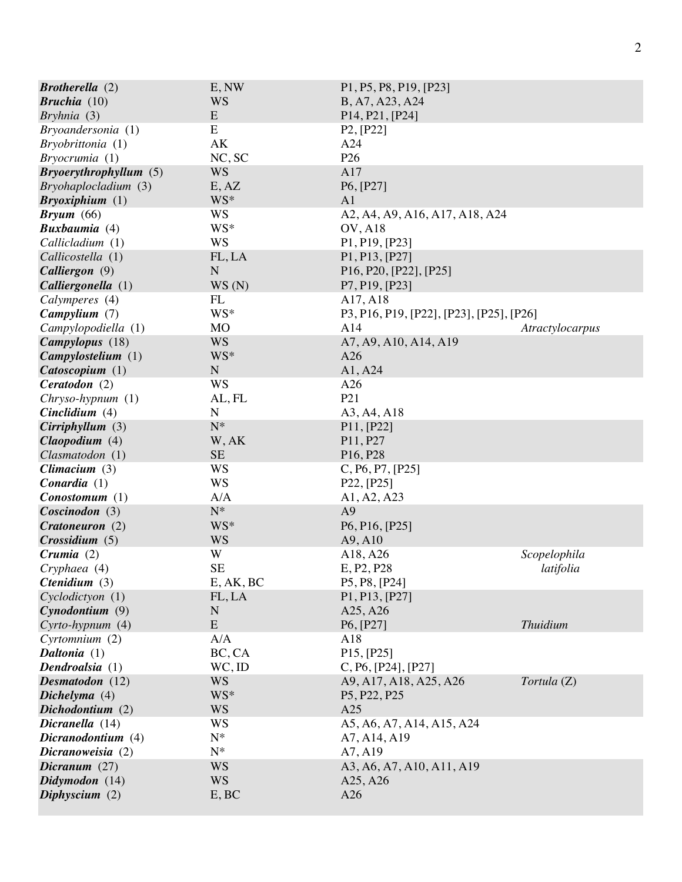| <b>Brotherella</b> $(2)$  | E, NW       | P1, P5, P8, P19, [P23]                                                     |                 |
|---------------------------|-------------|----------------------------------------------------------------------------|-----------------|
| <b>Bruchia</b> $(10)$     | WS          | B, A7, A23, A24                                                            |                 |
| Bryhnia (3)               | E           | P <sub>14</sub> , P <sub>21</sub> , [P <sub>24</sub> ]                     |                 |
| Bryoandersonia (1)        | E           | P2, [P22]                                                                  |                 |
| Bryobrittonia (1)         | AK          | A24                                                                        |                 |
| Bryocrumia(1)             | NC, SC      | P <sub>26</sub>                                                            |                 |
| Bryoery through y llum(5) | <b>WS</b>   | A17                                                                        |                 |
| Bryohaplocladium (3)      | E, AZ       | P6, [P27]                                                                  |                 |
| Bryoxiphium (1)           | WS*         | A <sub>1</sub>                                                             |                 |
| $Bryum$ (66)              | <b>WS</b>   | A2, A4, A9, A16, A17, A18, A24                                             |                 |
| <b>Buxbaumia</b> (4)      | WS*         | <b>OV, A18</b>                                                             |                 |
| Callicladium (1)          | <b>WS</b>   | P1, P19, [P23]                                                             |                 |
| Callicostella (1)         | FL, LA      | P <sub>1</sub> , P <sub>13</sub> , [P <sub>27</sub> ]                      |                 |
| Calliergon (9)            | $\mathbf N$ | P <sub>16</sub> , P <sub>20</sub> , [P <sub>22</sub> ], [P <sub>25</sub> ] |                 |
| Calliergonella (1)        | WS(N)       | P7, P19, [P23]                                                             |                 |
| Calymperes (4)            | FL          | A17, A18                                                                   |                 |
| Campylium (7)             | WS*         | P3, P16, P19, [P22], [P23], [P25], [P26]                                   |                 |
| Campylopodiella (1)       | <b>MO</b>   | A14                                                                        | Atractylocarpus |
| Campylopus (18)           | <b>WS</b>   | A7, A9, A10, A14, A19                                                      |                 |
| Campy lostelium (1)       | WS*         | A26                                                                        |                 |
| Catoscopium (1)           | ${\bf N}$   | A1, A24                                                                    |                 |
| Ceratodon (2)             | <b>WS</b>   | A26                                                                        |                 |
| Chryso-hypnum (1)         | AL, FL      | P <sub>21</sub>                                                            |                 |
| Cinclidium $(4)$          | ${\bf N}$   | A3, A4, A18                                                                |                 |
| Cirriphyllum(3)           | ${\bf N}^*$ | P11, [P22]                                                                 |                 |
| Claopodium (4)            | W, AK       | P11, P27                                                                   |                 |
| Clasmatodon (1)           | <b>SE</b>   | P <sub>16</sub> , P <sub>28</sub>                                          |                 |
| Climacium $(3)$           | WS          | C, P6, P7, [P25]                                                           |                 |
| Conardia(1)               | <b>WS</b>   | P22, [P25]                                                                 |                 |
| $Conostomum (1)$          | A/A         | A1, A2, A23                                                                |                 |
| $Coscinodon$ (3)          | $N^*$       | A <sub>9</sub>                                                             |                 |
| Cratoneuron (2)           | WS*         | P <sub>6</sub> , P <sub>16</sub> , [P <sub>25</sub> ]                      |                 |
| Crossidium (5)            | <b>WS</b>   | A9, A10                                                                    |                 |
| Crumia $(2)$              | W           | A18, A26                                                                   | Scopelophila    |
| Cryphaea (4)              | <b>SE</b>   | E, P <sub>2</sub> , P <sub>28</sub>                                        | latifolia       |
| <i>Ctenidium</i> $(3)$    | E, AK, BC   | P5, P8, [P24]                                                              |                 |
| Cyclodictyon (1)          | FL, LA      | P1, P13, [P27]                                                             |                 |
| Cynodontium(9)            | N           | A25, A26                                                                   |                 |
| Cyrto-hypnum (4)          | ${\bf E}$   | P6, [P27]                                                                  | <b>Thuidium</b> |
| Cyrtomnium (2)            | A/A         | A18                                                                        |                 |
| Daltonia (1)              | BC, CA      | P15, [P25]                                                                 |                 |
| Dendroalsia (1)           | WC, ID      | C, P6, [P24], [P27]                                                        |                 |
| Desmatodon (12)           | <b>WS</b>   | A9, A17, A18, A25, A26                                                     | Tortula (Z)     |
| Dichelyma (4)             | WS*         | P <sub>5</sub> , P <sub>22</sub> , P <sub>25</sub>                         |                 |
| Dichodontium (2)          | <b>WS</b>   | A25                                                                        |                 |
| Dicranella (14)           | <b>WS</b>   | A5, A6, A7, A14, A15, A24                                                  |                 |
| Dicranodontium (4)        | $N^*$       | A7, A14, A19                                                               |                 |
| Dicranoweisia (2)         | $N^*$       | A7, A19                                                                    |                 |
| Dicranum $(27)$           | <b>WS</b>   | A3, A6, A7, A10, A11, A19                                                  |                 |
| Didymodon (14)            | <b>WS</b>   | A <sub>25</sub> , A <sub>26</sub>                                          |                 |
| Diphyscium $(2)$          | E, BC       | A26                                                                        |                 |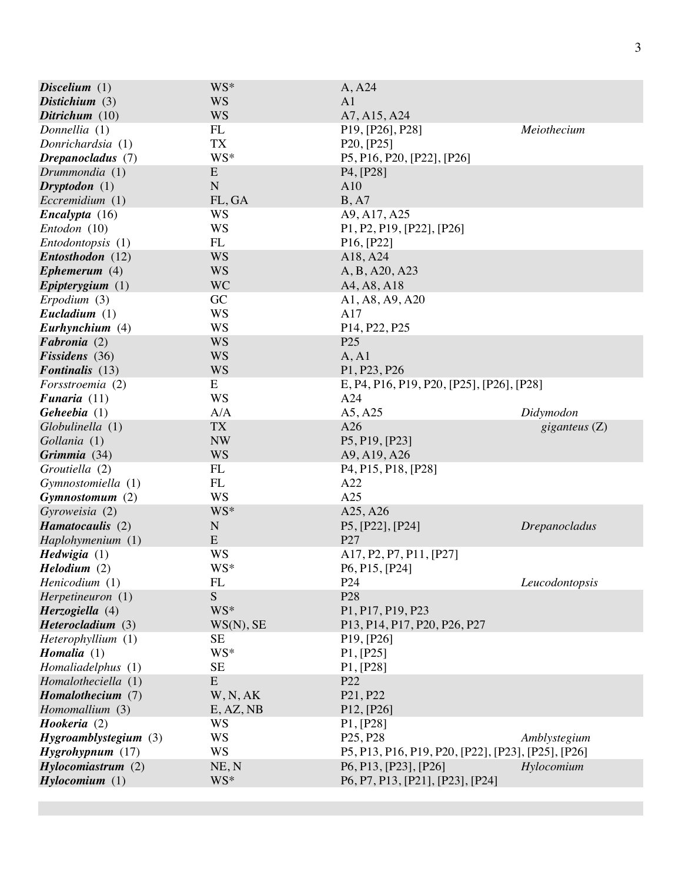| Discelium $(1)$                     | WS*                    | A, A24                                                                  |                      |
|-------------------------------------|------------------------|-------------------------------------------------------------------------|----------------------|
| Distichium $(3)$                    | <b>WS</b>              | A <sub>1</sub>                                                          |                      |
| Ditrichum $(10)$                    | <b>WS</b>              | A7, A15, A24                                                            |                      |
| Donnellia (1)                       | FL                     | P <sub>19</sub> , [P <sub>26</sub> ], P <sub>28</sub> ]                 | Meiothecium          |
| Donrichardsia (1)                   | <b>TX</b>              | P <sub>20</sub> , [P <sub>25</sub> ]                                    |                      |
| Drepanocladus (7)                   | WS*                    | P5, P16, P20, [P22], [P26]                                              |                      |
| Drummondia (1)                      | E                      | P <sub>4</sub> , [P <sub>28</sub> ]                                     |                      |
| $Dryptodon (1)$                     | ${\bf N}$              | A10                                                                     |                      |
| Eccremidium (1)                     | FL, GA                 | B, A7                                                                   |                      |
| $\boldsymbol{Encalyp}$ ta (16)      | WS                     | A9, A17, A25                                                            |                      |
| Entodon (10)                        | <b>WS</b>              | P1, P2, P19, [P22], [P26]                                               |                      |
| Entodontopsis (1)                   | FL                     | P16, [P22]                                                              |                      |
| Entosthodon (12)                    | <b>WS</b>              | A18, A24                                                                |                      |
| Ephemerum $(4)$                     | <b>WS</b>              | A, B, A20, A23                                                          |                      |
| Epipterygium $(1)$                  | <b>WC</b>              | A4, A8, A18                                                             |                      |
| Erpodium (3)                        | GC                     | A1, A8, A9, A20                                                         |                      |
| Eucladium $(1)$                     | WS                     | A17                                                                     |                      |
| Eurhynchium (4)                     | WS                     | P14, P22, P25                                                           |                      |
| Fabronia (2)                        | <b>WS</b>              | P <sub>25</sub>                                                         |                      |
| Fissidens (36)                      | <b>WS</b>              | A, A1                                                                   |                      |
| <b>Fontinalis</b> (13)              | <b>WS</b>              | P1, P23, P26                                                            |                      |
| Forsstroemia (2)                    | E                      | E, P4, P16, P19, P20, [P25], [P26], [P28]                               |                      |
| Funaria $(11)$                      | <b>WS</b>              | A24                                                                     |                      |
| Geheebia $(1)$                      | A/A                    | A5, A25                                                                 | Didymodon            |
| Globulinella (1)                    | <b>TX</b>              | A26                                                                     | giganteus $(Z)$      |
| Gollania (1)                        | <b>NW</b>              | P5, P19, [P23]                                                          |                      |
| Grimmia (34)                        | <b>WS</b>              | A9, A19, A26                                                            |                      |
| Groutiella (2)                      | FL                     | P <sub>4</sub> , P <sub>15</sub> , P <sub>18</sub> , [P <sub>28</sub> ] |                      |
| Gymnostomiella (1)                  | FL                     | A22                                                                     |                      |
| Gymnostomum (2)                     | <b>WS</b>              | A25                                                                     |                      |
| Gyroweisia (2)                      | WS*                    | A25, A26                                                                |                      |
| Hamatocaulis (2)                    | $\mathbf N$            | P5, [P22], [P24]                                                        | <b>Drepanocladus</b> |
| Haplohymenium (1)                   | E                      | P27                                                                     |                      |
| Hedwigia (1)                        | WS                     | A17, P2, P7, P11, [P27]                                                 |                      |
| Helodium (2)                        | WS*                    | P6, P15, [P24]                                                          |                      |
| Henicodium (1)                      | FL                     | P <sub>24</sub>                                                         | Leucodontopsis       |
| Herpetineuron (1)                   | ${\bf S}$<br>WS*       | P <sub>28</sub>                                                         |                      |
| Herzogiella (4)                     |                        | P1, P17, P19, P23                                                       |                      |
| Heterocladium (3)                   | WS(N), SE<br><b>SE</b> | P13, P14, P17, P20, P26, P27                                            |                      |
| Heterophyllium (1)<br>Homalia $(1)$ | WS*                    | P19, [P26]<br>P1, [P25]                                                 |                      |
| Homaliadelphus (1)                  | <b>SE</b>              | P1, [P28]                                                               |                      |
| Homalotheciella (1)                 | ${\bf E}$              | P22                                                                     |                      |
| Homalothecium (7)                   | W, N, AK               | P21, P22                                                                |                      |
| Homomallium (3)                     | E, AZ, NB              | P12, [P26]                                                              |                      |
| Hookeria (2)                        | WS                     | P1, [P28]                                                               |                      |
| $Hy$ groamblystegium $(3)$          | <b>WS</b>              | P <sub>25</sub> , P <sub>28</sub>                                       | Amblystegium         |
| $Hy$ grohypnum $(17)$               | <b>WS</b>              | P5, P13, P16, P19, P20, [P22], [P23], [P25], [P26]                      |                      |
| Hylocomiastrum(2)                   | NE, N                  | P6, P13, [P23], [P26]                                                   | Hylocomium           |
| Hylocomium (1)                      | WS*                    | P6, P7, P13, [P21], [P23], [P24]                                        |                      |
|                                     |                        |                                                                         |                      |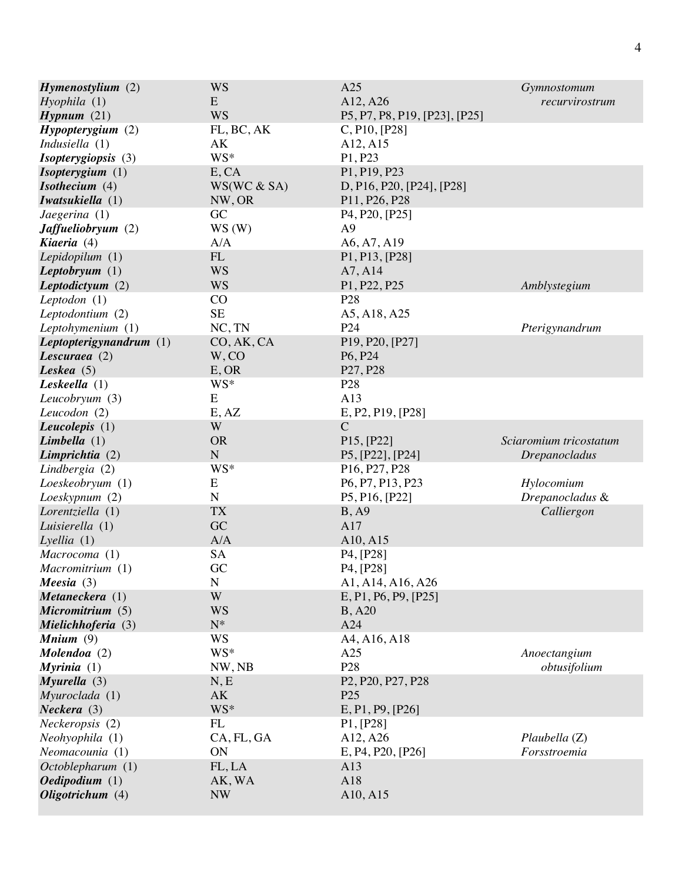| $H$ <i>ymenostylium</i> $(2)$ | <b>WS</b>   | A25                                                                  | Gymnostomum            |
|-------------------------------|-------------|----------------------------------------------------------------------|------------------------|
| Hyophila(1)                   | E           | A12, A26                                                             | recurvirostrum         |
| Hypnum(21)                    | <b>WS</b>   | P5, P7, P8, P19, [P23], [P25]                                        |                        |
| Hypopteryqium (2)             | FL, BC, AK  | C, P10, [P28]                                                        |                        |
| Indusiella $(1)$              | АK          | A12, A15                                                             |                        |
| <i>Isopterygiopsis</i> (3)    | WS*         | P1, P23                                                              |                        |
| Isopterygium (1)              | E, CA       | P1, P19, P23                                                         |                        |
| Isothecium $(4)$              | WS(WC & SA) | D, P16, P20, [P24], [P28]                                            |                        |
| Iwatsukiella (1)              | NW, OR      | P11, P26, P28                                                        |                        |
| Jaegerina(1)                  | GC          | P <sub>4</sub> , P <sub>20</sub> , [P <sub>25</sub> ]                |                        |
| <b>Jaffueliobryum</b> (2)     | WS(W)       | A <sub>9</sub>                                                       |                        |
| Kiaeria (4)                   | A/A         | A6, A7, A19                                                          |                        |
| Lepidopilum (1)               | ${\rm FL}$  | P1, P13, [P28]                                                       |                        |
| Leptobryum $(1)$              | <b>WS</b>   | A7, A14                                                              |                        |
| Leptodictyum (2)              | <b>WS</b>   | P1, P22, P25                                                         | Amblystegium           |
| Leptodon $(1)$                | CO          | P <sub>28</sub>                                                      |                        |
| Leptodontium (2)              | <b>SE</b>   | A5, A18, A25                                                         |                        |
| Leptohymenium (1)             | NC, TN      | P <sub>24</sub>                                                      | Pterigynandrum         |
| Leptopterigynandrum $(1)$     | CO, AK, CA  | P19, P20, [P27]                                                      |                        |
| Lescuraea $(2)$               | W, CO       | P <sub>6</sub> , P <sub>24</sub>                                     |                        |
| Leskea $(5)$                  | E, OR       | P <sub>27</sub> , P <sub>28</sub>                                    |                        |
| Leskeella $(1)$               | WS*         | P <sub>28</sub>                                                      |                        |
| Leucobryum (3)                | E           | A13                                                                  |                        |
| Leucodon (2)                  | E, AZ       | E, P2, P19, [P28]                                                    |                        |
| Leucolepis $(1)$              | W           | $\mathcal{C}$                                                        |                        |
| Limbella $(1)$                | <b>OR</b>   | P15, [P22]                                                           | Sciaromium tricostatum |
| Limprichtia (2)               | $\mathbf N$ | P5, [P22], [P24]                                                     | <i>Drepanocladus</i>   |
| Lindbergia (2)                | WS*         | P <sub>16</sub> , P <sub>27</sub> , P <sub>28</sub>                  |                        |
| Loeskeobryum (1)              | E           | P6, P7, P13, P23                                                     | Hylocomium             |
| Loeskypnum (2)                | $\mathbf N$ | P5, P16, [P22]                                                       | Drepanocladus &        |
| Lorentziella (1)              | <b>TX</b>   | B, A9                                                                | Calliergon             |
| Luisierella (1)               | GC          | A17                                                                  |                        |
| Lyellia(1)                    | A/A         | A10, A15                                                             |                        |
| Macrocoma (1)                 | SA          | P <sub>4</sub> , [P <sub>28</sub> ]                                  |                        |
| Macromitrium (1)              | GC          | P <sub>4</sub> , [P <sub>28</sub> ]                                  |                        |
| Meesia $(3)$                  | N           | A1, A14, A16, A26                                                    |                        |
| Metaneckera (1)               | W           | E, P1, P6, P9, [P25]                                                 |                        |
| Micromitrium (5)              | <b>WS</b>   | <b>B</b> , A20                                                       |                        |
| Mielichhoferia (3)            | $N^*$       | A24                                                                  |                        |
| Mnium $(9)$                   | WS          | A4, A16, A18                                                         |                        |
| $Molendoa (2)$                | WS*         | A25                                                                  | Anoectangium           |
| Myrinia $(1)$                 | NW, NB      | P <sub>28</sub>                                                      | obtusifolium           |
| Myurella(3)                   | N, E        | P <sub>2</sub> , P <sub>20</sub> , P <sub>27</sub> , P <sub>28</sub> |                        |
| Myuroclada (1)                | AK          | P <sub>25</sub>                                                      |                        |
| Neckera(3)                    | WS*         | E, P1, P9, [P26]                                                     |                        |
| Neckeropsis (2)               | FL          | P1, [P28]                                                            |                        |
| Neohyophila (1)               | CA, FL, GA  | A12, A26                                                             | Plaubella (Z)          |
| Neomacounia (1)               | ON          | E, P4, P20, [P26]                                                    | Forsstroemia           |
| Octoblepharum (1)             | FL, LA      | A13                                                                  |                        |
| Oedipodium (1)                | AK, WA      | A18                                                                  |                        |
| Oligotrichum (4)              | <b>NW</b>   | A10, A15                                                             |                        |
|                               |             |                                                                      |                        |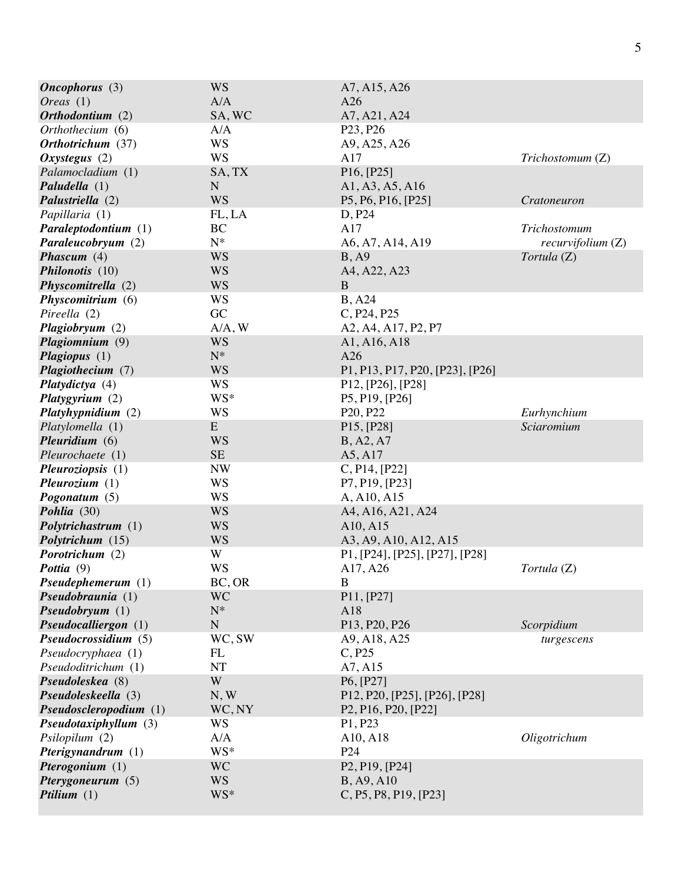| Oneophorus(3)            | <b>WS</b>   | A7, A15, A26                                                            |                   |
|--------------------------|-------------|-------------------------------------------------------------------------|-------------------|
| <i>Oreas</i> $(1)$       | A/A         | A26                                                                     |                   |
| Orthodontium (2)         | SA, WC      | A7, A21, A24                                                            |                   |
| Orthothecium (6)         | A/A         | P <sub>23</sub> , P <sub>26</sub>                                       |                   |
| Orthotrichum (37)        | <b>WS</b>   | A9, A25, A26                                                            |                   |
| Oxystegus $(2)$          | <b>WS</b>   | A17                                                                     | Trichostomum (Z)  |
| Palamocladium (1)        | SA, TX      | P16, [P25]                                                              |                   |
| Paludella (1)            | $\mathbf N$ | A1, A3, A5, A16                                                         |                   |
| Palustriella (2)         | <b>WS</b>   | P5, P6, P16, [P25]                                                      | Cratoneuron       |
| Papillaria (1)           | FL, LA      | D, P24                                                                  |                   |
| Paraleptodontium (1)     | BC          | A17                                                                     | Trichostomum      |
| Paraleucobryum (2)       | $N^*$       | A6, A7, A14, A19                                                        | recurvifolium (Z) |
| Phascum $(4)$            | <b>WS</b>   | B, A9                                                                   | Tortula (Z)       |
| Philonotis (10)          | <b>WS</b>   | A4, A22, A23                                                            |                   |
| Physcomitrella (2)       | <b>WS</b>   | $\mathbf{B}$                                                            |                   |
| Physcomitrium (6)        | <b>WS</b>   | <b>B</b> , A24                                                          |                   |
| Pireella (2)             | GC          | C, P24, P25                                                             |                   |
| Plagiobryum (2)          | A/A, W      | A2, A4, A17, P2, P7                                                     |                   |
| Plagiomnium (9)          | <b>WS</b>   | A1, A16, A18                                                            |                   |
| Plagiopus (1)            | $N^*$       | A26                                                                     |                   |
| Plagiothecium (7)        | <b>WS</b>   | P1, P13, P17, P20, [P23], [P26]                                         |                   |
| Platydictya (4)          | <b>WS</b>   | P12, [P26], [P28]                                                       |                   |
| Platygyrium $(2)$        | WS*         | P5, P19, [P26]                                                          |                   |
| Platyhypnidium (2)       | WS          | P <sub>20</sub> , P <sub>22</sub>                                       | Eurhynchium       |
| Platylomella (1)         | ${\bf E}$   | P <sub>15</sub> , [P <sub>28</sub> ]                                    | Sciaromium        |
| Pleuridium $(6)$         | <b>WS</b>   | B, A2, A7                                                               |                   |
| Pleurochaete (1)         | $\rm SE$    | A5, A17                                                                 |                   |
| <i>Pleuroziopsis</i> (1) | <b>NW</b>   | C, P14, [P22]                                                           |                   |
| Pleurozium $(1)$         | <b>WS</b>   | P7, P19, [P23]                                                          |                   |
| Pogonatum $(5)$          | WS          | A, A10, A15                                                             |                   |
| Pohlia (30)              | <b>WS</b>   | A4, A16, A21, A24                                                       |                   |
| Polytrichastrum (1)      | <b>WS</b>   | A10, A15                                                                |                   |
| Polytrichum (15)         | <b>WS</b>   | A3, A9, A10, A12, A15                                                   |                   |
| Porotrichum (2)          | W           | P1, [P24], [P25], [P27], [P28]                                          |                   |
| Pottia (9)               | <b>WS</b>   | A17, A26                                                                | Tortula (Z)       |
| Pseudephemerum (1)       | BC, OR      | B                                                                       |                   |
| Pseudobraunia(1)         | <b>WC</b>   | P11, [P27]                                                              |                   |
| Pseudobryum(1)           | $N^*$       | A18                                                                     |                   |
| Pseudocalliergon (1)     | ${\bf N}$   | P <sub>13</sub> , P <sub>20</sub> , P <sub>26</sub>                     | Scorpidium        |
| Pseudocrossidium (5)     | WC, SW      | A9, A18, A25                                                            | turgescens        |
| Pseudocryphaea (1)       | FL          | C, P25                                                                  |                   |
| Pseudoditrichum (1)      | NT          | A7, A15                                                                 |                   |
| Pseudoleskea (8)         | W           | P6, [P27]                                                               |                   |
| Pseudoleskeella (3)      | N, W        | P12, P20, [P25], [P26], [P28]                                           |                   |
| Pseudosclero podium (1)  | WC, NY      | P <sub>2</sub> , P <sub>16</sub> , P <sub>20</sub> , [P <sub>22</sub> ] |                   |
| Pseudotaxiphyllum (3)    | <b>WS</b>   | P1, P23                                                                 |                   |
| Psilopilum (2)           | A/A         | A10, A18                                                                | Oligotrichum      |
| Pterigynandrum (1)       | WS*         | P <sub>24</sub>                                                         |                   |
| Pterogonium $(1)$        | <b>WC</b>   | P <sub>2</sub> , P <sub>19</sub> , [P <sub>24</sub> ]                   |                   |
| Pterygoneurum (5)        | <b>WS</b>   | B, A9, A10                                                              |                   |
| Ptilium $(1)$            | WS*         | C, P5, P8, P19, [P23]                                                   |                   |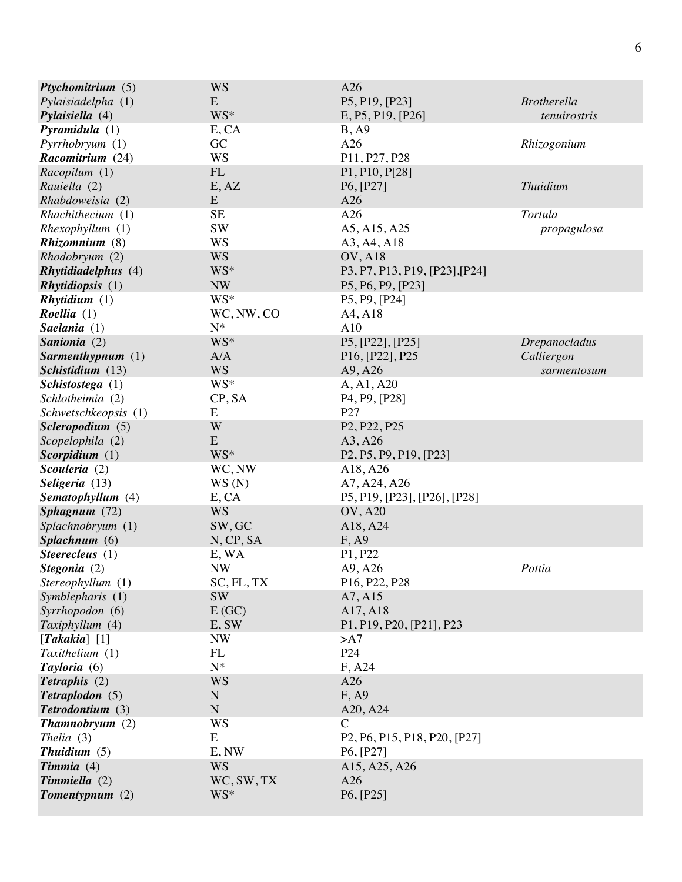| Ptychomitrium (5)          | <b>WS</b>    | A26                                                                                                        |                      |
|----------------------------|--------------|------------------------------------------------------------------------------------------------------------|----------------------|
| Pylaisiadelpha (1)         | E            | P5, P19, [P23]                                                                                             | <b>Brotherella</b>   |
| Pylaisiella $(4)$          | WS*          | E, P5, P19, [P26]                                                                                          | tenuirostris         |
| Pyramidula(1)              | E, CA        | B, A9                                                                                                      |                      |
| Pyrrhobryum (1)            | GC           | A26                                                                                                        | Rhizogonium          |
| Racomitrium (24)           | <b>WS</b>    | P11, P27, P28                                                                                              |                      |
| Racopilum (1)              | ${\rm FL}$   | P1, P10, P[28]                                                                                             |                      |
| Rauiella (2)               | E, AZ        | P6, [P27]                                                                                                  | <b>Thuidium</b>      |
| Rhabdoweisia (2)           | ${\bf E}$    | A26                                                                                                        |                      |
| Rhachithecium (1)          | <b>SE</b>    | A26                                                                                                        | Tortula              |
| Rhexophyllum(1)            | <b>SW</b>    | A5, A15, A25                                                                                               | propagulosa          |
| Rhizomnium (8)             | <b>WS</b>    | A3, A4, A18                                                                                                |                      |
| Rhodobryum (2)             | <b>WS</b>    | <b>OV, A18</b>                                                                                             |                      |
| <b>Rhytidiadelphus</b> (4) | WS*          | P3, P7, P13, P19, [P23], [P24]                                                                             |                      |
| <i>Rhytidiopsis</i> (1)    | <b>NW</b>    | P5, P6, P9, [P23]                                                                                          |                      |
| Rhytidium (1)              | WS*          | P <sub>5</sub> , P <sub>9</sub> , [P <sub>24</sub> ]                                                       |                      |
| <i>Roellia</i> $(1)$       | WC, NW, CO   | A4, A18                                                                                                    |                      |
| Saelania (1)               | ${\bf N}^*$  | A10                                                                                                        |                      |
| Sanionia (2)               | WS*          | P5, [P22], [P25]                                                                                           | <b>Drepanocladus</b> |
| Sarmenthypnum (1)          | A/A          | P <sub>16</sub> , [P <sub>22</sub> ], P <sub>25</sub>                                                      | Calliergon           |
| Schistidium (13)           | <b>WS</b>    | A9, A26                                                                                                    | sarmentosum          |
| Schistostega (1)           | WS*          | A, A1, A20                                                                                                 |                      |
| Schlotheimia (2)           | CP, SA       | P <sub>4</sub> , P <sub>9</sub> , [P <sub>28</sub> ]                                                       |                      |
| Schwetschkeopsis (1)       | E            | P27                                                                                                        |                      |
| Scleropodium (5)           | W            | P <sub>2</sub> , P <sub>22</sub> , P <sub>25</sub>                                                         |                      |
| Scopelophila (2)           | E            | A3, A26                                                                                                    |                      |
| Scorpidium $(1)$           | WS*          | P <sub>2</sub> , P <sub>5</sub> , P <sub>9</sub> , P <sub>19</sub> , [P <sub>23</sub> ]                    |                      |
| Scouleria (2)              | WC, NW       | A18, A26                                                                                                   |                      |
| Seligeria (13)             | WS(N)        | A7, A24, A26                                                                                               |                      |
| Sematophyllum (4)          | E, CA        | P5, P19, [P23], [P26], [P28]                                                                               |                      |
| Sphagnum (72)              | <b>WS</b>    | <b>OV, A20</b>                                                                                             |                      |
| Splachnobryum (1)          | SW, GC       | A18, A24                                                                                                   |                      |
| Splachnum (6)              | N, CP, SA    | F, A9                                                                                                      |                      |
| Steerecleus $(1)$          | E, WA        | P1, P22                                                                                                    |                      |
| Stegonia (2)               | <b>NW</b>    | A9, A26                                                                                                    | Pottia               |
| Stereophyllum (1)          | $SC, FL, TX$ | P16, P22, P28                                                                                              |                      |
| Symblepharis (1)           | <b>SW</b>    | A7, A15                                                                                                    |                      |
| Syrrhopodon (6)            | E(GC)        | A17, A18                                                                                                   |                      |
| Taxiphyllum (4)            | E, SW        | P1, P19, P20, [P21], P23                                                                                   |                      |
| [Takakia] $[1]$            | <b>NW</b>    | >A7                                                                                                        |                      |
| Taxithelium (1)            | FL           | P <sub>24</sub>                                                                                            |                      |
| Tayloria (6)               | $N^*$        | F, A24                                                                                                     |                      |
| Tetraphis (2)              | <b>WS</b>    | A26                                                                                                        |                      |
| Tetraplodon (5)            | $\mathbf N$  | F, A9                                                                                                      |                      |
| Tetrodontium (3)           | ${\bf N}$    | A20, A24                                                                                                   |                      |
| Thamnobryum(2)             | WS           | C                                                                                                          |                      |
| Thelia $(3)$               | E            | P <sub>2</sub> , P <sub>6</sub> , P <sub>15</sub> , P <sub>18</sub> , P <sub>20</sub> , [P <sub>27</sub> ] |                      |
| Thuidium $(5)$             | E, NW        | P <sub>6</sub> , [P <sub>27</sub> ]                                                                        |                      |
| $Timmia (4)$               | <b>WS</b>    | A15, A25, A26                                                                                              |                      |
| $Timm$ <i>iella</i> $(2)$  | WC, SW, TX   | A26                                                                                                        |                      |
| $Tomentypnum (2)$          | WS*          | P6, [P25]                                                                                                  |                      |
|                            |              |                                                                                                            |                      |